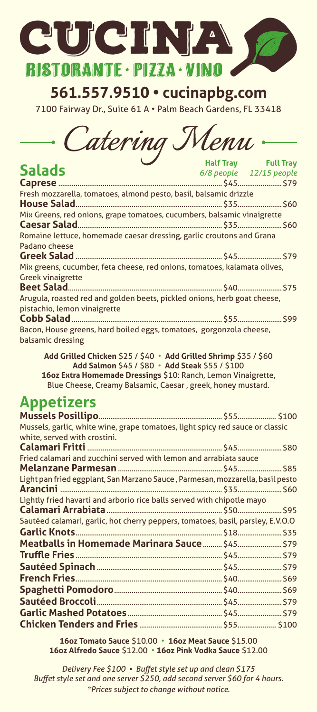

**561.557.9510 • cucinapbg.com**

7100 Fairway Dr., Suite 61 A • Palm Beach Gardens, FL 33418

 $\emph{Catering Menu}$ 

|                                                                                          | – Half Iray – Full Iray |                         |
|------------------------------------------------------------------------------------------|-------------------------|-------------------------|
| <b>Salads</b>                                                                            |                         | 6/8 people 12/15 people |
|                                                                                          |                         |                         |
| Fresh mozzarella, tomatoes, almond pesto, basil, balsamic drizzle                        |                         |                         |
|                                                                                          |                         |                         |
| Mix Greens, red onions, grape tomatoes, cucumbers, balsamic vinaigrette                  |                         |                         |
|                                                                                          |                         |                         |
| Romaine lettuce, homemade caesar dressing, garlic croutons and Grana                     |                         |                         |
| Padano cheese                                                                            |                         |                         |
|                                                                                          |                         |                         |
| Mix greens, cucumber, feta cheese, red onions, tomatoes, kalamata olives,                |                         |                         |
| <b>Greek vinaigrette</b>                                                                 |                         |                         |
|                                                                                          |                         |                         |
| Arugula, roasted red and golden beets, pickled onions, herb goat cheese,                 |                         |                         |
| pistachio, lemon vinaigrette                                                             |                         |                         |
|                                                                                          |                         |                         |
| Bacon, House greens, hard boiled eggs, tomatoes, gorgonzola cheese,<br>balsamic dressing |                         |                         |
|                                                                                          |                         |                         |

**Add Grilled Chicken** \$25 / \$40 • **Add Grilled Shrimp** \$35 / \$60 **Add Salmon** \$45 / \$80 • **Add Steak** \$55 / \$100 **16oz Extra Homemade Dressings** \$10: Ranch, Lemon Vinaigrette, Blue Cheese, Creamy Balsamic, Caesar , greek, honey mustard.

## **Appetizers**

| Mussels, garlic, white wine, grape tomatoes, light spicy red sauce or classic   |  |
|---------------------------------------------------------------------------------|--|
| white, served with crostini.                                                    |  |
|                                                                                 |  |
| Fried calamari and zucchini served with lemon and arrabiata sauce               |  |
|                                                                                 |  |
| Light pan fried eggplant, San Marzano Sauce, Parmesan, mozzarella, basil pesto  |  |
|                                                                                 |  |
| Lightly fried havarti and arborio rice balls served with chipotle mayo          |  |
|                                                                                 |  |
| Sautéed calamari, garlic, hot cherry peppers, tomatoes, basil, parsley, E.V.O.O |  |
|                                                                                 |  |
| Meatballs in Homemade Marinara Sauce  \$45 \$79                                 |  |
|                                                                                 |  |
|                                                                                 |  |
|                                                                                 |  |
|                                                                                 |  |
|                                                                                 |  |
|                                                                                 |  |
|                                                                                 |  |

**16oz Tomato Sauce** \$10.00 • **16oz Meat Sauce** \$15.00 **16oz Alfredo Sauce** \$12.00 • **16oz Pink Vodka Sauce** \$12.00

*Delivery Fee \$100 • Buffet style set up and clean \$175 Buffet style set and one server \$250, add second server \$60 for 4 hours. \*Prices subject to change without notice.*